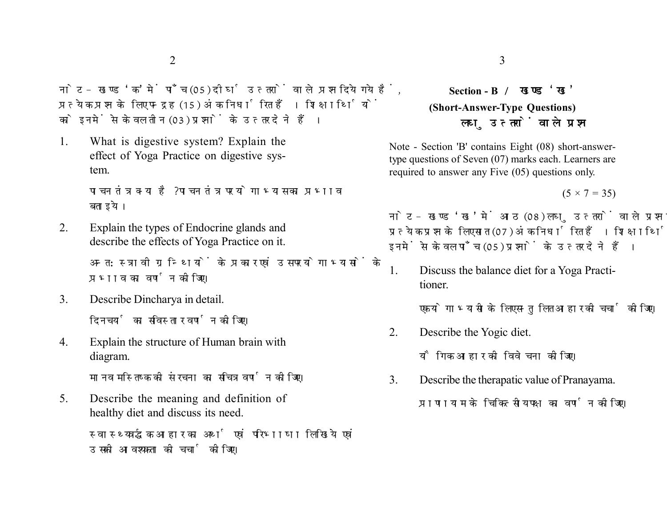नोट- खण्ड 'क' में पाँच (05) दीर्घ उत्तरों वाले प्रश्न दिये गये हैं. प्रत्येक प्रश्न के लिए पन्द्रह (15) अंक निर्धारित हैं। शिक्षार्थियों को इनमें से केवल तीन (03) प्रश्नों के उत्तर देने हैं।

1. What is digestive system? Explain the effect of Yoga Practice on digestive system.

> पाचन तंत्र क्या है? पाचन तंत्र पर योगाभ्यास का प्रभाव बताइये।

- 2. Explain the types of Endocrine glands and describe the effects of Yoga Practice on it. अन्त:स्त्रावी ग्रन्थियों के प्रकार एवं उस पर योगाभ्यासों के प्रभाव का वर्णन कोजिए।
- 3. Describe Dincharya in detail. दिनचर्या का सविस्तार वर्णन कोजिए।
- 4. Explain the structure of Human brain with diagram.

मानव मस्तिष्क की संरचना का सचित्र वर्णन कोजिए।

5. Describe the meaning and definition of healthy diet and discuss its need.

> स्वास्थ्यवर्द्धक आहार का अर्थ एवं परिभाषा लिखिये एवं उसकी आवश्यकता की चर्चा कीजिए।

## **Section - B (Short-Answer-Type Questions)** लघ उत्तरों वाले प्रश्न

Note - Section 'B' contains Eight (08) short-answertype questions of Seven (07) marks each. Learners are required to answer any Five (05) questions only.

 $(5 \times 7 = 35)$ 

नोट- खण्ड 'ख' में आठ (08) लघु उत्तरों वाले प्रश्न दिये गये हैं, प्रत्येक प्रश्न के लिए सात (07) अंक निर्धारित हैं। शिक्षार्थियों को इनमें से केवल पाँच (05) प्रश्नों के उत्तर देने हैं।

1. Discuss the balance diet for a Yoga Practitioner.

एक योगाभ्यासी के लिए सन्तुलित आहार की चर्चा कीजिए।

2. Describe the Yogic diet.

यौगिक आहार की विवेचना कीजिए।

3. Describe the therapatic value of Pranayama.

प्राणायाम के चिकित्सीय पक्ष का वर्णन कोजिए।